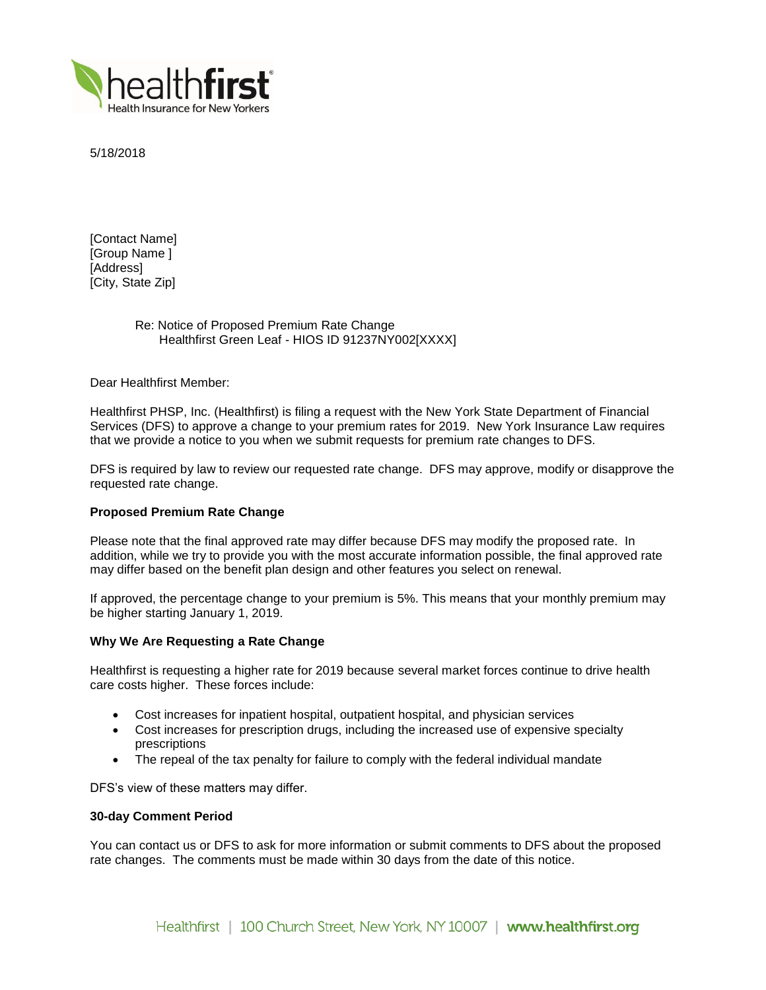

5/18/2018

[Contact Name] [Group Name ] [Address] [City, State Zip]

# Re: Notice of Proposed Premium Rate Change Healthfirst Green Leaf - HIOS ID 91237NY002[XXXX]

Dear Healthfirst Member:

Healthfirst PHSP, Inc. (Healthfirst) is filing a request with the New York State Department of Financial Services (DFS) to approve a change to your premium rates for 2019. New York Insurance Law requires that we provide a notice to you when we submit requests for premium rate changes to DFS.

DFS is required by law to review our requested rate change. DFS may approve, modify or disapprove the requested rate change.

# **Proposed Premium Rate Change**

Please note that the final approved rate may differ because DFS may modify the proposed rate. In addition, while we try to provide you with the most accurate information possible, the final approved rate may differ based on the benefit plan design and other features you select on renewal.

If approved, the percentage change to your premium is 5%. This means that your monthly premium may be higher starting January 1, 2019.

## **Why We Are Requesting a Rate Change**

Healthfirst is requesting a higher rate for 2019 because several market forces continue to drive health care costs higher. These forces include:

- Cost increases for inpatient hospital, outpatient hospital, and physician services
- Cost increases for prescription drugs, including the increased use of expensive specialty prescriptions
- The repeal of the tax penalty for failure to comply with the federal individual mandate

DFS's view of these matters may differ.

## **30-day Comment Period**

You can contact us or DFS to ask for more information or submit comments to DFS about the proposed rate changes. The comments must be made within 30 days from the date of this notice.